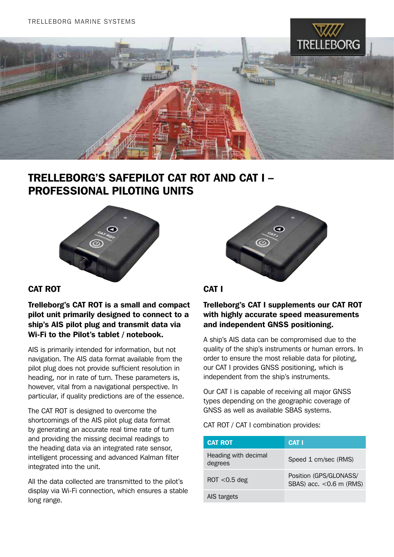

## TRELLEBORG'S SAFEPILOT CAT ROT AND CAT I – Professional Piloting Units



### CAT ROT

Trelleborg's CAT ROT is a small and compact pilot unit primarily designed to connect to a ship's AIS pilot plug and transmit data via Wi-Fi to the Pilot's tablet / notebook.

AIS is primarily intended for information, but not navigation. The AIS data format available from the pilot plug does not provide sufficient resolution in heading, nor in rate of turn. These parameters is, however, vital from a navigational perspective. In particular, if quality predictions are of the essence.

The CAT ROT is designed to overcome the shortcomings of the AIS pilot plug data format by generating an accurate real time rate of turn and providing the missing decimal readings to the heading data via an integrated rate sensor, intelligent processing and advanced Kalman filter integrated into the unit.

All the data collected are transmitted to the pilot's display via Wi-Fi connection, which ensures a stable long range.



#### CAT I

#### Trelleborg's CAT I supplements our CAT ROT with highly accurate speed measurements and independent GNSS positioning.

A ship's AIS data can be compromised due to the quality of the ship's instruments or human errors. In order to ensure the most reliable data for piloting, our CAT I provides GNSS positioning, which is independent from the ship's instruments.

Our CAT I is capable of receiving all major GNSS types depending on the geographic coverage of GNSS as well as available SBAS systems.

CAT ROT / CAT I combination provides:

| <b>CAT ROT</b>                  | <b>CAT I</b>                                         |
|---------------------------------|------------------------------------------------------|
| Heading with decimal<br>degrees | Speed 1 cm/sec (RMS)                                 |
| $ROT < 0.5$ deg                 | Position (GPS/GLONASS/<br>SBAS) acc. $<$ 0.6 m (RMS) |
| AIS targets                     |                                                      |